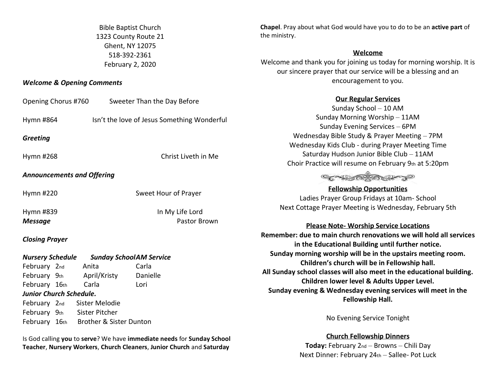Bible Baptist Church 1323 County Route 21 Ghent, NY 12075 518-392-2361 February 2, 2020

#### *Welcome & Opening Comments*

| Opening Chorus #760<br>Sweeter Than the Day Before        |                                             |                      | <u>Our Regular Services</u>                                                                                             |
|-----------------------------------------------------------|---------------------------------------------|----------------------|-------------------------------------------------------------------------------------------------------------------------|
|                                                           |                                             |                      | Sunday School - 10 AM                                                                                                   |
| Hymn #864                                                 | Isn't the love of Jesus Something Wonderful |                      | Sunday Morning Worship - 11AM                                                                                           |
|                                                           |                                             |                      | Sunday Evening Services - 6PM                                                                                           |
| <b>Greeting</b>                                           |                                             |                      | Wednesday Bible Study & Prayer Meeting - 7PM                                                                            |
|                                                           |                                             |                      | Wednesday Kids Club - during Prayer Meeting Time                                                                        |
| Hymn #268                                                 |                                             | Christ Liveth in Me  | Saturday Hudson Junior Bible Club - 11AM                                                                                |
|                                                           |                                             |                      | Choir Practice will resume on February 9th at 5:20pm                                                                    |
| <b>Announcements and Offering</b>                         |                                             |                      |                                                                                                                         |
|                                                           |                                             |                      | <b>Fellowship Opportunities</b>                                                                                         |
| Hymn #220                                                 |                                             | Sweet Hour of Prayer | Ladies Prayer Group Fridays at 10am- School                                                                             |
| In My Life Lord<br>Hymn #839                              |                                             |                      | Next Cottage Prayer Meeting is Wednesday, February 5th                                                                  |
|                                                           |                                             |                      |                                                                                                                         |
| <b>Message</b>                                            | Pastor Brown                                |                      | <b>Please Note- Worship Service Locations</b>                                                                           |
| <b>Closing Prayer</b>                                     |                                             |                      | Remember: due to main church renovations we will hold all services<br>in the Educational Building until further notice. |
| <b>Nursery Schedule</b><br><b>Sunday SchoolAM Service</b> |                                             |                      | Sunday morning worship will be in the upstairs meeting room.                                                            |
| February 2nd                                              | Anita                                       | Carla                | Children's church will be in Fellowship hall.                                                                           |
| February 9th                                              | April/Kristy                                | Danielle             | All Sunday school classes will also meet in the educational building.                                                   |
| February 16th                                             | Carla                                       | Lori                 | Children lower level & Adults Upper Level.                                                                              |
| Junior Church Schedule.                                   |                                             |                      | Sunday evening & Wednesday evening services will meet in the                                                            |
| February 2nd                                              | Sister Melodie                              | Fellowship Hall.     |                                                                                                                         |
| February 9th                                              | Sister Pitcher                              |                      |                                                                                                                         |
| Brother & Sister Dunton<br>February 16th                  |                                             |                      | No Evening Service Tonight                                                                                              |

Is God calling **you** to **serve**? We have **immediate needs** for **Sunday School Teacher**, **Nursery Workers**, **Church Cleaners**, **Junior Church** and **Saturday** 

**Church Fellowship Dinners Today:** February 2nd – Browns – Chili Day Next Dinner: February 24th – Sallee- Pot Luck

**Chapel**. Pray about what God would have you to do to be an **active part** of the ministry.

#### **Welcome**

Welcome and thank you for joining us today for morning worship. It is our sincere prayer that our service will be a blessing and an encouragement to you.

# **Our Regular Services**